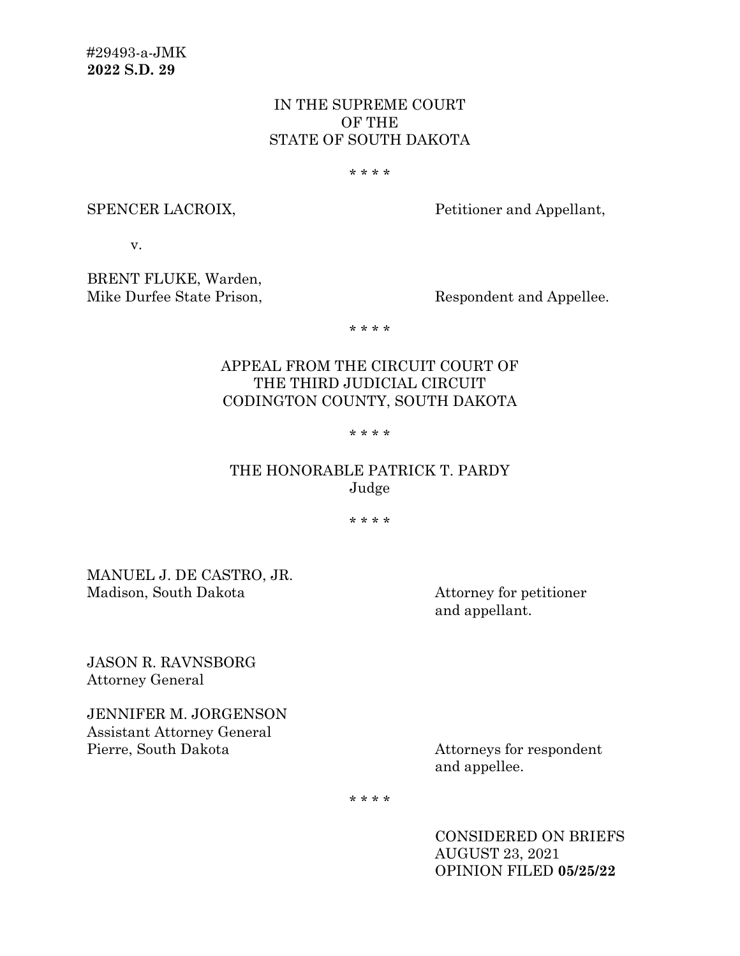# IN THE SUPREME COURT OF THE STATE OF SOUTH DAKOTA

#### \* \* \* \*

SPENCER LACROIX, Petitioner and Appellant,

v.

BRENT FLUKE, Warden, Mike Durfee State Prison, Respondent and Appellee.

\* \* \* \*

# APPEAL FROM THE CIRCUIT COURT OF THE THIRD JUDICIAL CIRCUIT CODINGTON COUNTY, SOUTH DAKOTA

#### \* \* \* \*

# THE HONORABLE PATRICK T. PARDY Judge

\* \* \* \*

MANUEL J. DE CASTRO, JR. Madison, South Dakota Attorney for petitioner

and appellant.

JASON R. RAVNSBORG Attorney General

JENNIFER M. JORGENSON Assistant Attorney General Pierre, South Dakota Attorneys for respondent

and appellee.

\* \* \* \*

CONSIDERED ON BRIEFS AUGUST 23, 2021 OPINION FILED **05/25/22**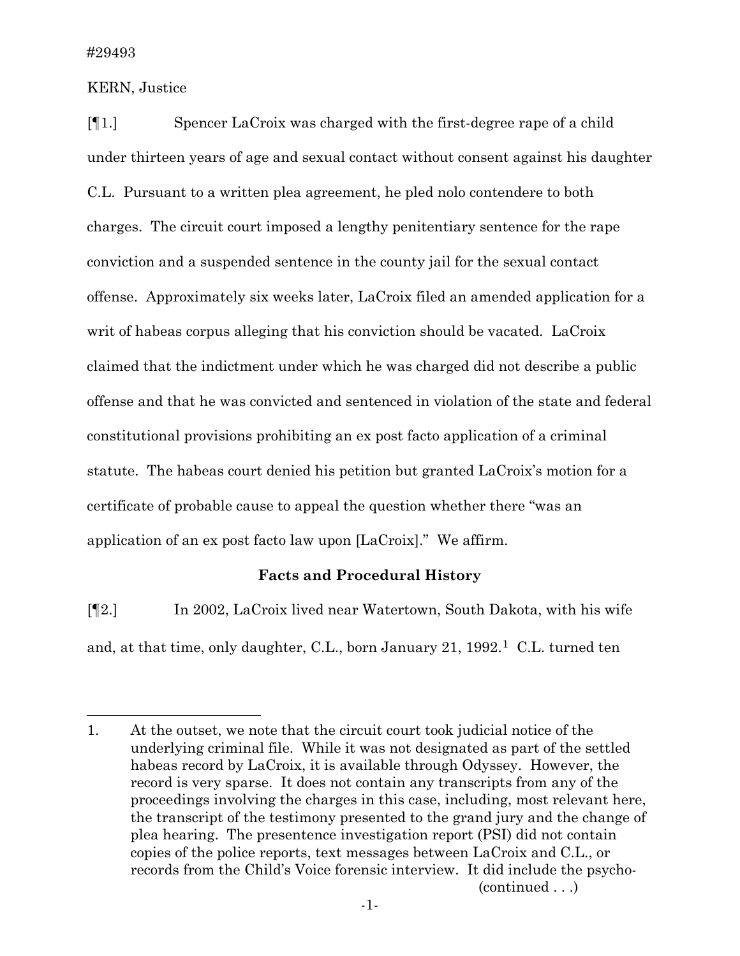KERN, Justice

[¶1.] Spencer LaCroix was charged with the first-degree rape of a child under thirteen years of age and sexual contact without consent against his daughter C.L. Pursuant to a written plea agreement, he pled nolo contendere to both charges. The circuit court imposed a lengthy penitentiary sentence for the rape conviction and a suspended sentence in the county jail for the sexual contact offense. Approximately six weeks later, LaCroix filed an amended application for a writ of habeas corpus alleging that his conviction should be vacated. LaCroix claimed that the indictment under which he was charged did not describe a public offense and that he was convicted and sentenced in violation of the state and federal constitutional provisions prohibiting an ex post facto application of a criminal statute. The habeas court denied his petition but granted LaCroix's motion for a certificate of probable cause to appeal the question whether there "was an application of an ex post facto law upon [LaCroix]." We affirm.

# **Facts and Procedural History**

[¶2.] In 2002, LaCroix lived near Watertown, South Dakota, with his wife and, at that time, only daughter, C.L., born January 21,  $1992<sup>1</sup>$  C.L. turned ten

<span id="page-1-0"></span><sup>1.</sup> At the outset, we note that the circuit court took judicial notice of the underlying criminal file. While it was not designated as part of the settled habeas record by LaCroix, it is available through Odyssey. However, the record is very sparse. It does not contain any transcripts from any of the proceedings involving the charges in this case, including, most relevant here, the transcript of the testimony presented to the grand jury and the change of plea hearing. The presentence investigation report (PSI) did not contain copies of the police reports, text messages between LaCroix and C.L., or records from the Child's Voice forensic interview. It did include the psycho- (continued . . .)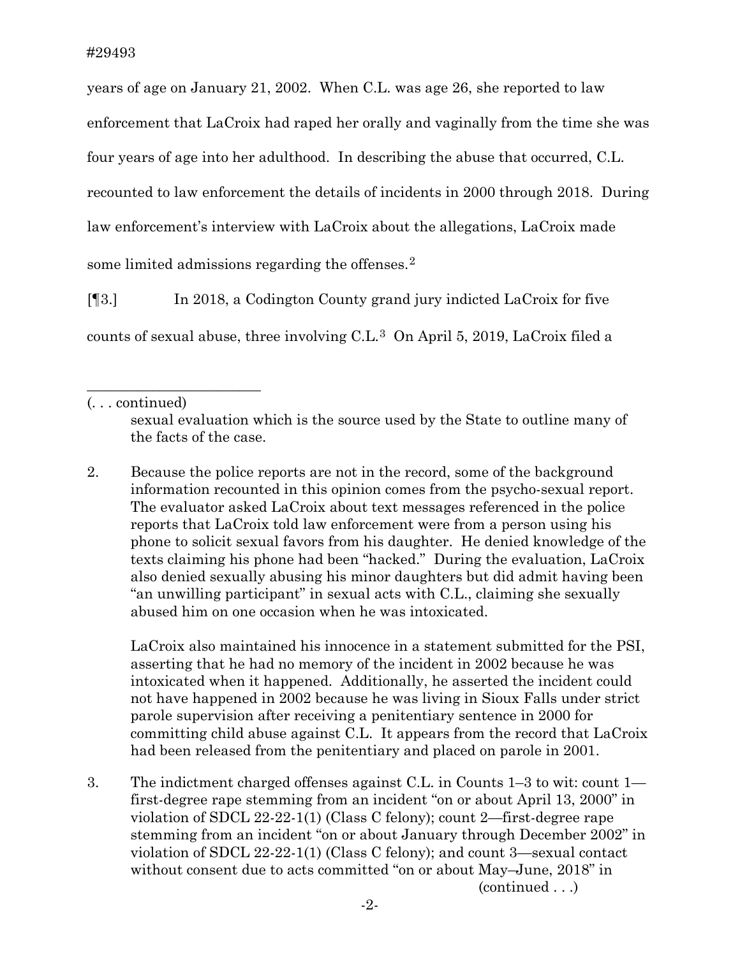years of age on January 21, 2002. When C.L. was age 26, she reported to law enforcement that LaCroix had raped her orally and vaginally from the time she was four years of age into her adulthood. In describing the abuse that occurred, C.L. recounted to law enforcement the details of incidents in 2000 through 2018. During law enforcement's interview with LaCroix about the allegations, LaCroix made some limited admissions regarding the offenses.<sup>[2](#page-2-0)</sup>

[¶3.] In 2018, a Codington County grand jury indicted LaCroix for five counts of sexual abuse, three involving C.L.[3](#page-2-1) On April 5, 2019, LaCroix filed a

\_\_\_\_\_\_\_\_\_\_\_\_\_\_\_\_\_\_\_\_\_\_\_\_

<span id="page-2-0"></span>2. Because the police reports are not in the record, some of the background information recounted in this opinion comes from the psycho-sexual report. The evaluator asked LaCroix about text messages referenced in the police reports that LaCroix told law enforcement were from a person using his phone to solicit sexual favors from his daughter. He denied knowledge of the texts claiming his phone had been "hacked." During the evaluation, LaCroix also denied sexually abusing his minor daughters but did admit having been "an unwilling participant" in sexual acts with C.L., claiming she sexually abused him on one occasion when he was intoxicated.

LaCroix also maintained his innocence in a statement submitted for the PSI, asserting that he had no memory of the incident in 2002 because he was intoxicated when it happened. Additionally, he asserted the incident could not have happened in 2002 because he was living in Sioux Falls under strict parole supervision after receiving a penitentiary sentence in 2000 for committing child abuse against C.L. It appears from the record that LaCroix had been released from the penitentiary and placed on parole in 2001.

<span id="page-2-1"></span>3. The indictment charged offenses against C.L. in Counts 1–3 to wit: count 1 first-degree rape stemming from an incident "on or about April 13, 2000" in violation of SDCL 22-22-1(1) (Class C felony); count 2—first-degree rape stemming from an incident "on or about January through December 2002" in violation of SDCL 22-22-1(1) (Class C felony); and count 3—sexual contact without consent due to acts committed "on or about May–June, 2018" in (continued . . .)

<sup>(. . .</sup> continued)

sexual evaluation which is the source used by the State to outline many of the facts of the case.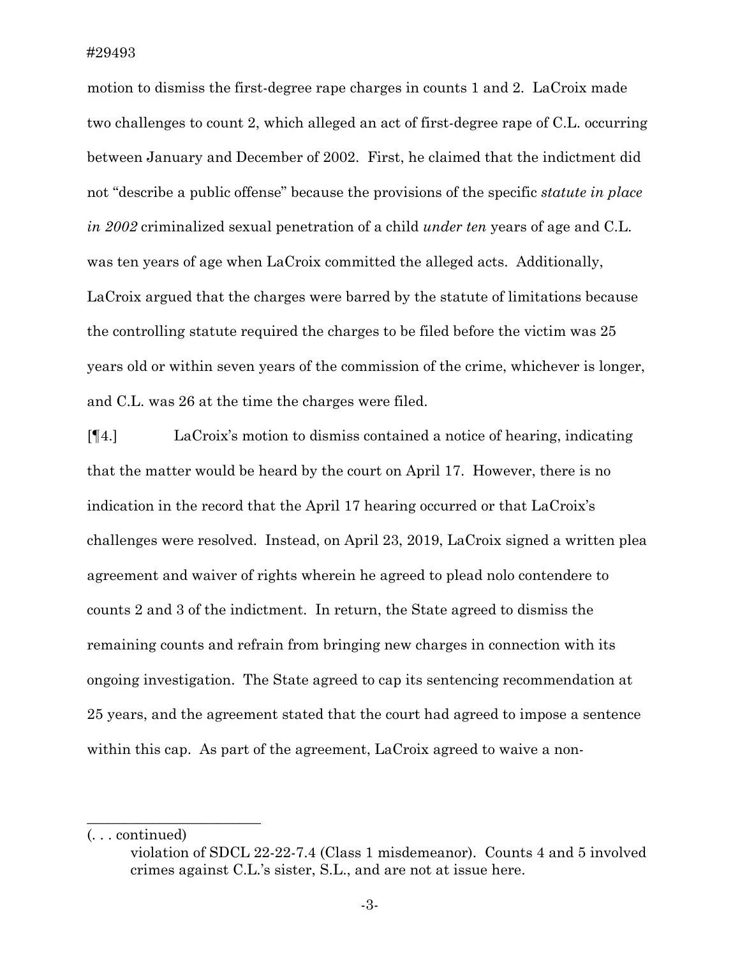motion to dismiss the first-degree rape charges in counts 1 and 2. LaCroix made two challenges to count 2, which alleged an act of first-degree rape of C.L. occurring between January and December of 2002. First, he claimed that the indictment did not "describe a public offense" because the provisions of the specific *statute in place in 2002* criminalized sexual penetration of a child *under ten* years of age and C.L. was ten years of age when LaCroix committed the alleged acts. Additionally, LaCroix argued that the charges were barred by the statute of limitations because the controlling statute required the charges to be filed before the victim was 25 years old or within seven years of the commission of the crime, whichever is longer, and C.L. was 26 at the time the charges were filed.

[¶4.] LaCroix's motion to dismiss contained a notice of hearing, indicating that the matter would be heard by the court on April 17. However, there is no indication in the record that the April 17 hearing occurred or that LaCroix's challenges were resolved. Instead, on April 23, 2019, LaCroix signed a written plea agreement and waiver of rights wherein he agreed to plead nolo contendere to counts 2 and 3 of the indictment. In return, the State agreed to dismiss the remaining counts and refrain from bringing new charges in connection with its ongoing investigation. The State agreed to cap its sentencing recommendation at 25 years, and the agreement stated that the court had agreed to impose a sentence within this cap. As part of the agreement, LaCroix agreed to waive a non-

 $\overline{\phantom{a}}$  , where  $\overline{\phantom{a}}$  , where  $\overline{\phantom{a}}$  , where  $\overline{\phantom{a}}$ 

<sup>(. . .</sup> continued)

violation of SDCL 22-22-7.4 (Class 1 misdemeanor). Counts 4 and 5 involved crimes against C.L.'s sister, S.L., and are not at issue here.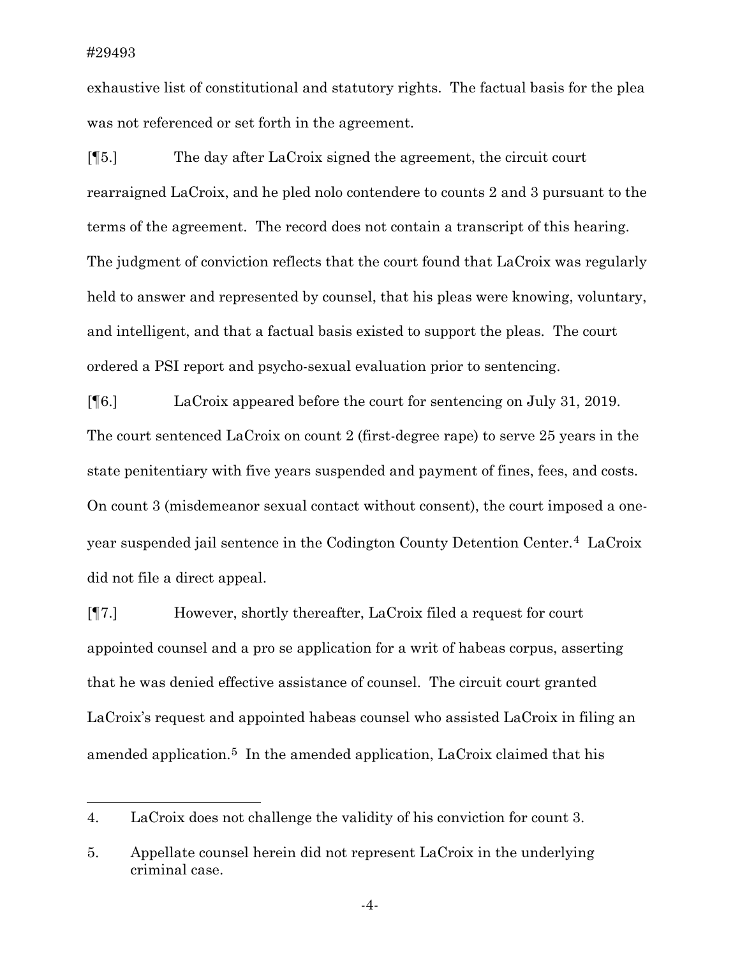exhaustive list of constitutional and statutory rights. The factual basis for the plea was not referenced or set forth in the agreement.

[¶5.] The day after LaCroix signed the agreement, the circuit court rearraigned LaCroix, and he pled nolo contendere to counts 2 and 3 pursuant to the terms of the agreement. The record does not contain a transcript of this hearing. The judgment of conviction reflects that the court found that LaCroix was regularly held to answer and represented by counsel, that his pleas were knowing, voluntary, and intelligent, and that a factual basis existed to support the pleas. The court ordered a PSI report and psycho-sexual evaluation prior to sentencing.

[¶6.] LaCroix appeared before the court for sentencing on July 31, 2019. The court sentenced LaCroix on count 2 (first-degree rape) to serve 25 years in the state penitentiary with five years suspended and payment of fines, fees, and costs. On count 3 (misdemeanor sexual contact without consent), the court imposed a oneyear suspended jail sentence in the Codington County Detention Center.[4](#page-4-0) LaCroix did not file a direct appeal.

[¶7.] However, shortly thereafter, LaCroix filed a request for court appointed counsel and a pro se application for a writ of habeas corpus, asserting that he was denied effective assistance of counsel. The circuit court granted LaCroix's request and appointed habeas counsel who assisted LaCroix in filing an amended application[.5](#page-4-1) In the amended application, LaCroix claimed that his

<span id="page-4-0"></span><sup>4.</sup> LaCroix does not challenge the validity of his conviction for count 3.

<span id="page-4-1"></span><sup>5.</sup> Appellate counsel herein did not represent LaCroix in the underlying criminal case.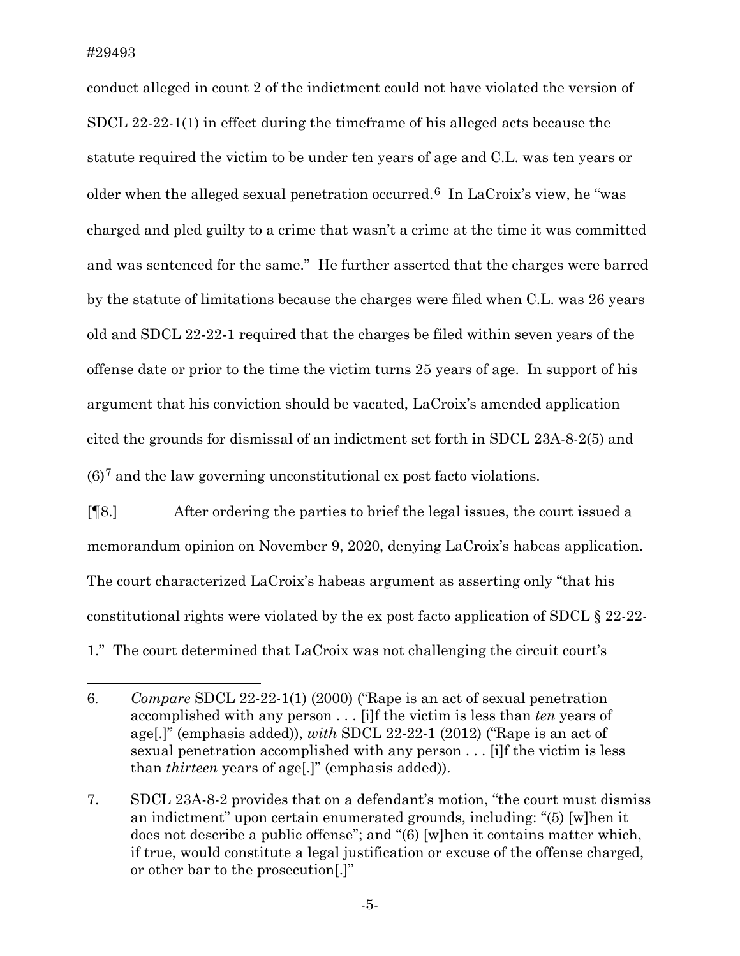conduct alleged in count 2 of the indictment could not have violated the version of SDCL 22-22-1(1) in effect during the timeframe of his alleged acts because the statute required the victim to be under ten years of age and C.L. was ten years or older when the alleged sexual penetration occurred.<sup>[6](#page-5-0)</sup> In LaCroix's view, he "was charged and pled guilty to a crime that wasn't a crime at the time it was committed and was sentenced for the same." He further asserted that the charges were barred by the statute of limitations because the charges were filed when C.L. was 26 years old and SDCL 22-22-1 required that the charges be filed within seven years of the offense date or prior to the time the victim turns 25 years of age. In support of his argument that his conviction should be vacated, LaCroix's amended application cited the grounds for dismissal of an indictment set forth in SDCL 23A-8-2(5) and  $(6)^7$  $(6)^7$  and the law governing unconstitutional ex post facto violations.

[¶8.] After ordering the parties to brief the legal issues, the court issued a memorandum opinion on November 9, 2020, denying LaCroix's habeas application. The court characterized LaCroix's habeas argument as asserting only "that his constitutional rights were violated by the ex post facto application of SDCL § 22-22- 1." The court determined that LaCroix was not challenging the circuit court's

<span id="page-5-0"></span><sup>6.</sup> *Compare* SDCL 22-22-1(1) (2000) ("Rape is an act of sexual penetration accomplished with any person . . . [i]f the victim is less than *ten* years of age[.]" (emphasis added)), *with* SDCL 22-22-1 (2012) ("Rape is an act of sexual penetration accomplished with any person . . . [i]f the victim is less than *thirteen* years of age[.]" (emphasis added)).

<span id="page-5-1"></span><sup>7.</sup> SDCL 23A-8-2 provides that on a defendant's motion, "the court must dismiss an indictment" upon certain enumerated grounds, including: "(5) [w]hen it does not describe a public offense"; and "(6) [w]hen it contains matter which, if true, would constitute a legal justification or excuse of the offense charged, or other bar to the prosecution[.]"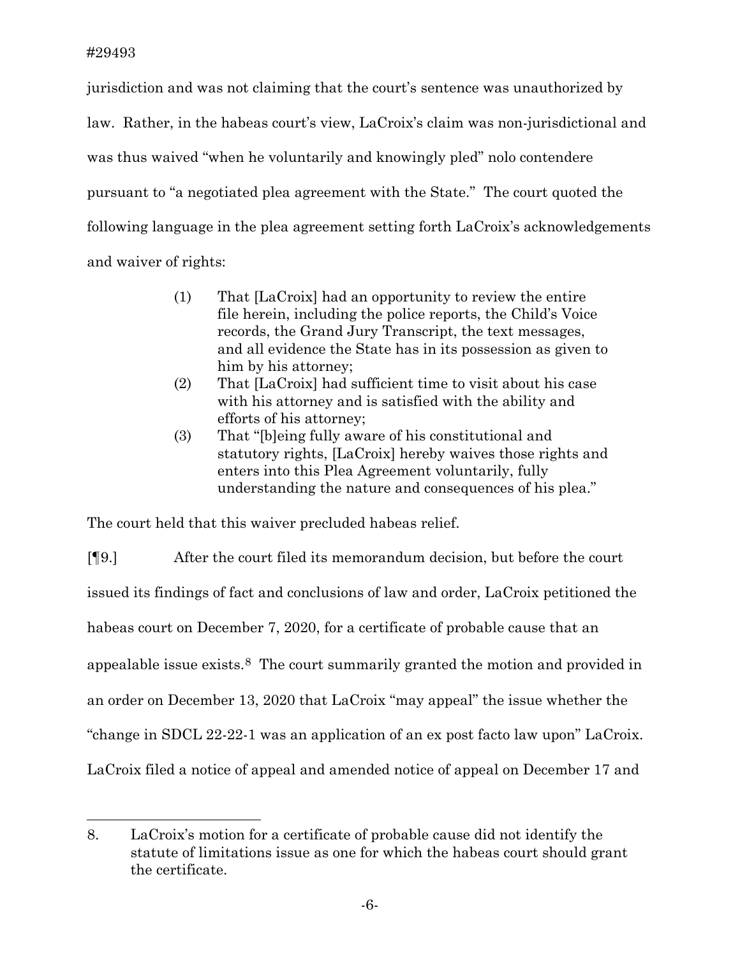jurisdiction and was not claiming that the court's sentence was unauthorized by law. Rather, in the habeas court's view, LaCroix's claim was non-jurisdictional and was thus waived "when he voluntarily and knowingly pled" nolo contendere pursuant to "a negotiated plea agreement with the State." The court quoted the following language in the plea agreement setting forth LaCroix's acknowledgements and waiver of rights:

- (1) That [LaCroix] had an opportunity to review the entire file herein, including the police reports, the Child's Voice records, the Grand Jury Transcript, the text messages, and all evidence the State has in its possession as given to him by his attorney;
- (2) That [LaCroix] had sufficient time to visit about his case with his attorney and is satisfied with the ability and efforts of his attorney;
- (3) That "[b]eing fully aware of his constitutional and statutory rights, [LaCroix] hereby waives those rights and enters into this Plea Agreement voluntarily, fully understanding the nature and consequences of his plea."

The court held that this waiver precluded habeas relief.

[¶9.] After the court filed its memorandum decision, but before the court issued its findings of fact and conclusions of law and order, LaCroix petitioned the habeas court on December 7, 2020, for a certificate of probable cause that an appealable issue exists.[8](#page-6-0) The court summarily granted the motion and provided in an order on December 13, 2020 that LaCroix "may appeal" the issue whether the "change in SDCL 22-22-1 was an application of an ex post facto law upon" LaCroix. LaCroix filed a notice of appeal and amended notice of appeal on December 17 and

<span id="page-6-0"></span><sup>8.</sup> LaCroix's motion for a certificate of probable cause did not identify the statute of limitations issue as one for which the habeas court should grant the certificate.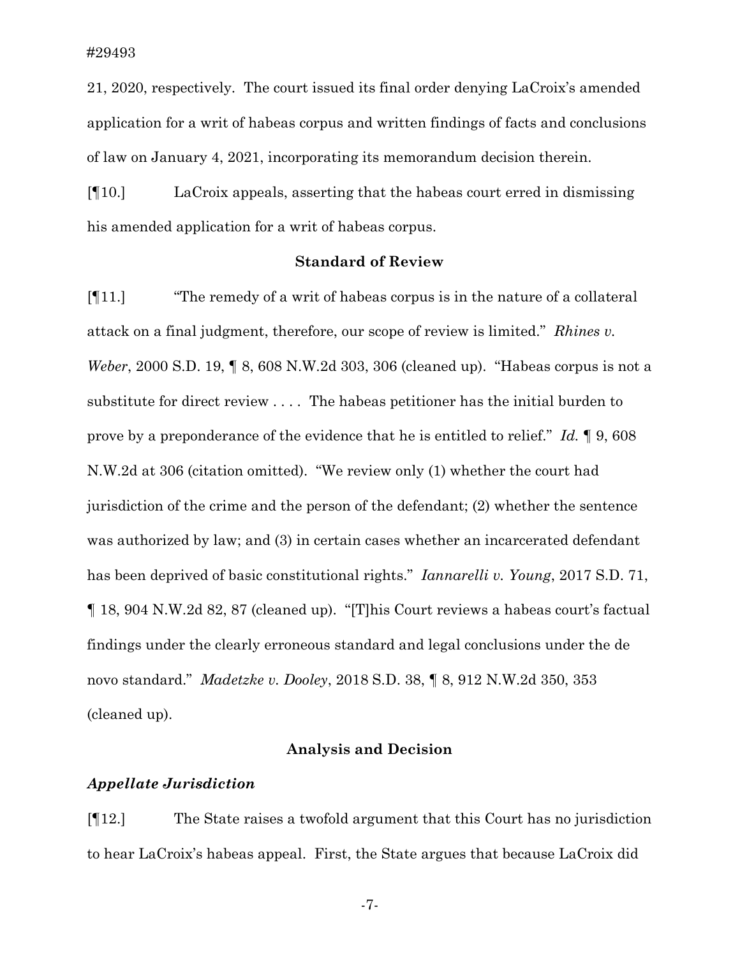21, 2020, respectively. The court issued its final order denying LaCroix's amended application for a writ of habeas corpus and written findings of facts and conclusions of law on January 4, 2021, incorporating its memorandum decision therein.

[¶10.] LaCroix appeals, asserting that the habeas court erred in dismissing his amended application for a writ of habeas corpus.

## **Standard of Review**

[¶11.] "The remedy of a writ of habeas corpus is in the nature of a collateral attack on a final judgment, therefore, our scope of review is limited." *Rhines v. Weber*, 2000 S.D. 19, ¶ 8, 608 N.W.2d 303, 306 (cleaned up). "Habeas corpus is not a substitute for direct review . . . . The habeas petitioner has the initial burden to prove by a preponderance of the evidence that he is entitled to relief." *Id.* ¶ 9, 608 N.W.2d at 306 (citation omitted). "We review only (1) whether the court had jurisdiction of the crime and the person of the defendant; (2) whether the sentence was authorized by law; and (3) in certain cases whether an incarcerated defendant has been deprived of basic constitutional rights." *Iannarelli v. Young*, 2017 S.D. 71, ¶ 18, 904 N.W.2d 82, 87 (cleaned up). "[T]his Court reviews a habeas court's factual findings under the clearly erroneous standard and legal conclusions under the de novo standard." *Madetzke v. Dooley*, 2018 S.D. 38, ¶ 8, 912 N.W.2d 350, 353 (cleaned up).

### **Analysis and Decision**

#### *Appellate Jurisdiction*

[¶12.] The State raises a twofold argument that this Court has no jurisdiction to hear LaCroix's habeas appeal. First, the State argues that because LaCroix did

-7-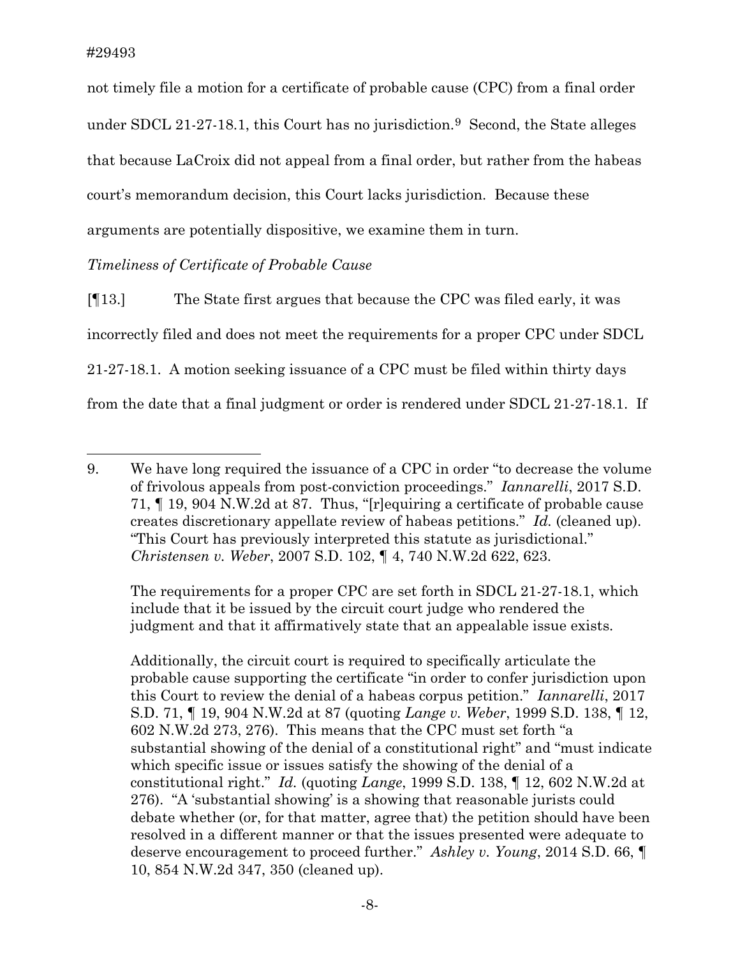not timely file a motion for a certificate of probable cause (CPC) from a final order under SDCL 21-27-18.1, this Court has no jurisdiction.<sup>9</sup> Second, the State alleges that because LaCroix did not appeal from a final order, but rather from the habeas court's memorandum decision, this Court lacks jurisdiction. Because these arguments are potentially dispositive, we examine them in turn.

# *Timeliness of Certificate of Probable Cause*

[¶13.] The State first argues that because the CPC was filed early, it was incorrectly filed and does not meet the requirements for a proper CPC under SDCL 21-27-18.1. A motion seeking issuance of a CPC must be filed within thirty days from the date that a final judgment or order is rendered under SDCL 21-27-18.1. If

The requirements for a proper CPC are set forth in SDCL 21-27-18.1, which include that it be issued by the circuit court judge who rendered the judgment and that it affirmatively state that an appealable issue exists.

Additionally, the circuit court is required to specifically articulate the probable cause supporting the certificate "in order to confer jurisdiction upon this Court to review the denial of a habeas corpus petition." *Iannarelli*, 2017 S.D. 71, ¶ 19, 904 N.W.2d at 87 (quoting *Lange v. Weber*, 1999 S.D. 138, ¶ 12, 602 N.W.2d 273, 276). This means that the CPC must set forth "a substantial showing of the denial of a constitutional right" and "must indicate which specific issue or issues satisfy the showing of the denial of a constitutional right." *Id.* (quoting *Lange*, 1999 S.D. 138, ¶ 12, 602 N.W.2d at 276). "A 'substantial showing' is a showing that reasonable jurists could debate whether (or, for that matter, agree that) the petition should have been resolved in a different manner or that the issues presented were adequate to deserve encouragement to proceed further." *Ashley v. Young*, 2014 S.D. 66, ¶ 10, 854 N.W.2d 347, 350 (cleaned up).

<span id="page-8-0"></span><sup>9.</sup> We have long required the issuance of a CPC in order "to decrease the volume of frivolous appeals from post-conviction proceedings." *Iannarelli*, 2017 S.D. 71, ¶ 19, 904 N.W.2d at 87. Thus, "[r]equiring a certificate of probable cause creates discretionary appellate review of habeas petitions." *Id.* (cleaned up). "This Court has previously interpreted this statute as jurisdictional." *Christensen v. Weber*, 2007 S.D. 102, ¶ 4, 740 N.W.2d 622, 623.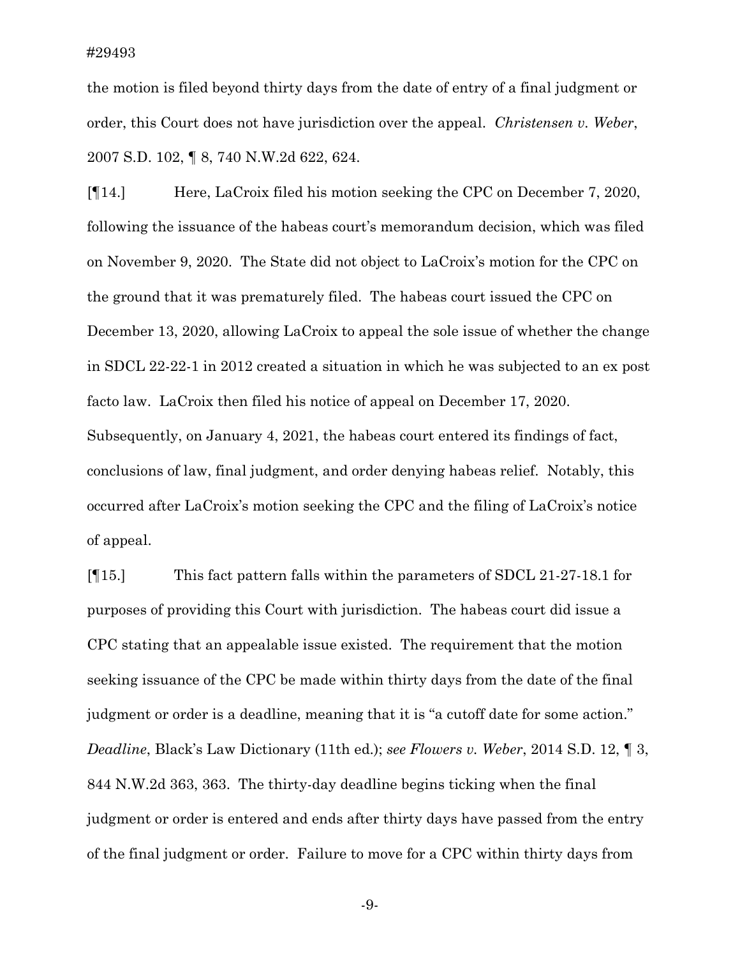the motion is filed beyond thirty days from the date of entry of a final judgment or order, this Court does not have jurisdiction over the appeal. *Christensen v. Weber*, 2007 S.D. 102, ¶ 8, 740 N.W.2d 622, 624.

[¶14.] Here, LaCroix filed his motion seeking the CPC on December 7, 2020, following the issuance of the habeas court's memorandum decision, which was filed on November 9, 2020. The State did not object to LaCroix's motion for the CPC on the ground that it was prematurely filed. The habeas court issued the CPC on December 13, 2020, allowing LaCroix to appeal the sole issue of whether the change in SDCL 22-22-1 in 2012 created a situation in which he was subjected to an ex post facto law. LaCroix then filed his notice of appeal on December 17, 2020. Subsequently, on January 4, 2021, the habeas court entered its findings of fact, conclusions of law, final judgment, and order denying habeas relief. Notably, this occurred after LaCroix's motion seeking the CPC and the filing of LaCroix's notice of appeal.

[¶15.] This fact pattern falls within the parameters of SDCL 21-27-18.1 for purposes of providing this Court with jurisdiction. The habeas court did issue a CPC stating that an appealable issue existed. The requirement that the motion seeking issuance of the CPC be made within thirty days from the date of the final judgment or order is a deadline, meaning that it is "a cutoff date for some action." *Deadline*, Black's Law Dictionary (11th ed.); *see Flowers v. Weber*, 2014 S.D. 12, ¶ 3, 844 N.W.2d 363, 363. The thirty-day deadline begins ticking when the final judgment or order is entered and ends after thirty days have passed from the entry of the final judgment or order. Failure to move for a CPC within thirty days from

-9-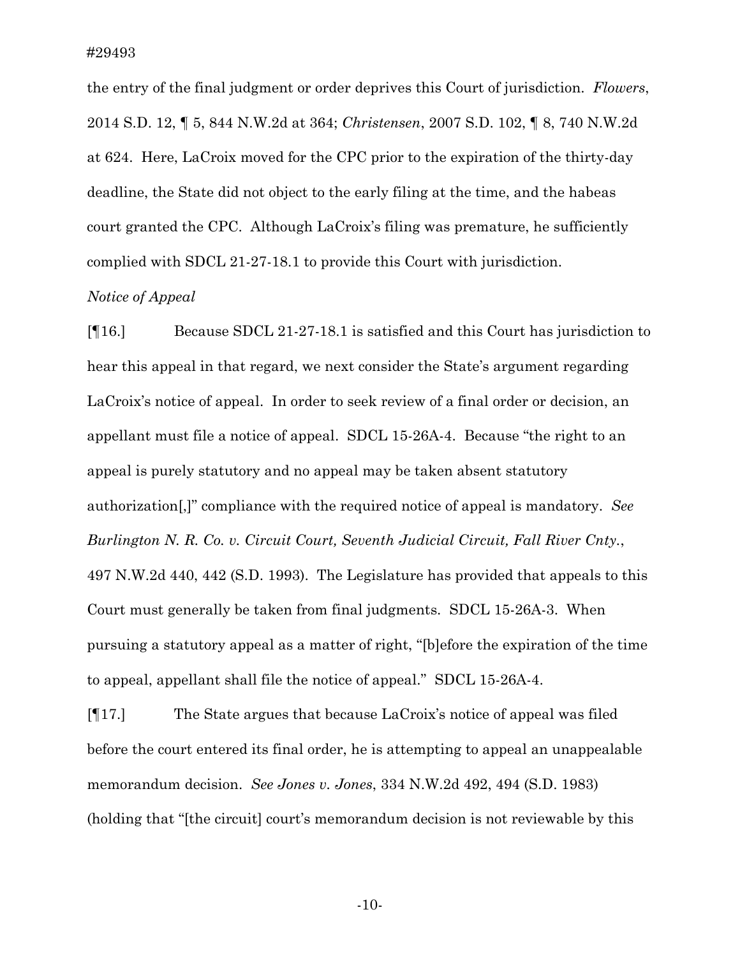the entry of the final judgment or order deprives this Court of jurisdiction. *Flowers*, 2014 S.D. 12, ¶ 5, 844 N.W.2d at 364; *Christensen*, 2007 S.D. 102, ¶ 8, 740 N.W.2d at 624. Here, LaCroix moved for the CPC prior to the expiration of the thirty-day deadline, the State did not object to the early filing at the time, and the habeas court granted the CPC. Although LaCroix's filing was premature, he sufficiently complied with SDCL 21-27-18.1 to provide this Court with jurisdiction.

## *Notice of Appeal*

[¶16.] Because SDCL 21-27-18.1 is satisfied and this Court has jurisdiction to hear this appeal in that regard, we next consider the State's argument regarding LaCroix's notice of appeal. In order to seek review of a final order or decision, an appellant must file a notice of appeal. SDCL 15-26A-4. Because "the right to an appeal is purely statutory and no appeal may be taken absent statutory authorization[,]" compliance with the required notice of appeal is mandatory. *See Burlington N. R. Co. v. Circuit Court, Seventh Judicial Circuit, Fall River Cnty.*, 497 N.W.2d 440, 442 (S.D. 1993). The Legislature has provided that appeals to this Court must generally be taken from final judgments. SDCL 15-26A-3. When pursuing a statutory appeal as a matter of right, "[b]efore the expiration of the time to appeal, appellant shall file the notice of appeal." SDCL 15-26A-4.

[¶17.] The State argues that because LaCroix's notice of appeal was filed before the court entered its final order, he is attempting to appeal an unappealable memorandum decision. *See Jones v. Jones*, 334 N.W.2d 492, 494 (S.D. 1983) (holding that "[the circuit] court's memorandum decision is not reviewable by this

-10-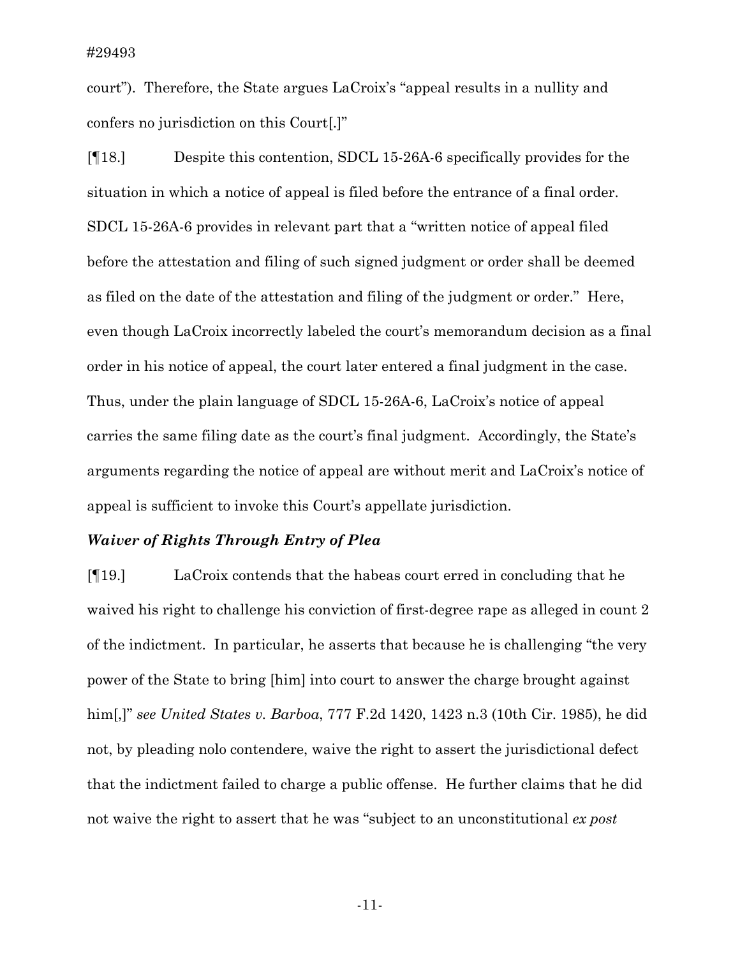court"). Therefore, the State argues LaCroix's "appeal results in a nullity and confers no jurisdiction on this Court[.]"

[¶18.] Despite this contention, SDCL 15-26A-6 specifically provides for the situation in which a notice of appeal is filed before the entrance of a final order. SDCL 15-26A-6 provides in relevant part that a "written notice of appeal filed before the attestation and filing of such signed judgment or order shall be deemed as filed on the date of the attestation and filing of the judgment or order." Here, even though LaCroix incorrectly labeled the court's memorandum decision as a final order in his notice of appeal, the court later entered a final judgment in the case. Thus, under the plain language of SDCL 15-26A-6, LaCroix's notice of appeal carries the same filing date as the court's final judgment. Accordingly, the State's arguments regarding the notice of appeal are without merit and LaCroix's notice of appeal is sufficient to invoke this Court's appellate jurisdiction.

#### *Waiver of Rights Through Entry of Plea*

[¶19.] LaCroix contends that the habeas court erred in concluding that he waived his right to challenge his conviction of first-degree rape as alleged in count 2 of the indictment. In particular, he asserts that because he is challenging "the very power of the State to bring [him] into court to answer the charge brought against him[,]" *see United States v. Barboa*, 777 F.2d 1420, 1423 n.3 (10th Cir. 1985), he did not, by pleading nolo contendere, waive the right to assert the jurisdictional defect that the indictment failed to charge a public offense. He further claims that he did not waive the right to assert that he was "subject to an unconstitutional *ex post* 

-11-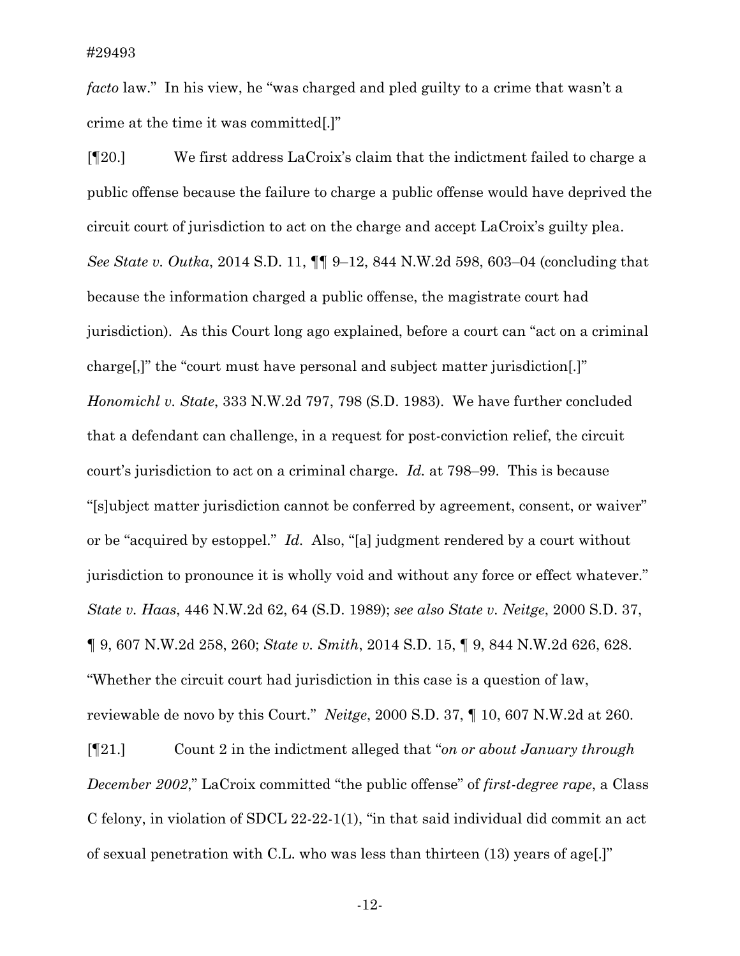*facto* law." In his view, he "was charged and pled guilty to a crime that wasn't a crime at the time it was committed[.]"

[¶20.] We first address LaCroix's claim that the indictment failed to charge a public offense because the failure to charge a public offense would have deprived the circuit court of jurisdiction to act on the charge and accept LaCroix's guilty plea. *See State v. Outka*, 2014 S.D. 11, ¶¶ 9–12, 844 N.W.2d 598, 603–04 (concluding that because the information charged a public offense, the magistrate court had jurisdiction). As this Court long ago explained, before a court can "act on a criminal charge[,]" the "court must have personal and subject matter jurisdiction[.]" *Honomichl v. State*, 333 N.W.2d 797, 798 (S.D. 1983). We have further concluded that a defendant can challenge, in a request for post-conviction relief, the circuit court's jurisdiction to act on a criminal charge. *Id.* at 798–99. This is because "[s]ubject matter jurisdiction cannot be conferred by agreement, consent, or waiver" or be "acquired by estoppel." *Id.* Also, "[a] judgment rendered by a court without jurisdiction to pronounce it is wholly void and without any force or effect whatever." *State v. Haas*, 446 N.W.2d 62, 64 (S.D. 1989); *see also State v. Neitge*, 2000 S.D. 37, ¶ 9, 607 N.W.2d 258, 260; *State v. Smith*, 2014 S.D. 15, ¶ 9, 844 N.W.2d 626, 628. "Whether the circuit court had jurisdiction in this case is a question of law, reviewable de novo by this Court." *Neitge*, 2000 S.D. 37, ¶ 10, 607 N.W.2d at 260. [¶21.] Count 2 in the indictment alleged that "*on or about January through December 2002*," LaCroix committed "the public offense" of *first-degree rape*, a Class

of sexual penetration with C.L. who was less than thirteen (13) years of age[.]"

-12-

C felony, in violation of SDCL 22-22-1(1), "in that said individual did commit an act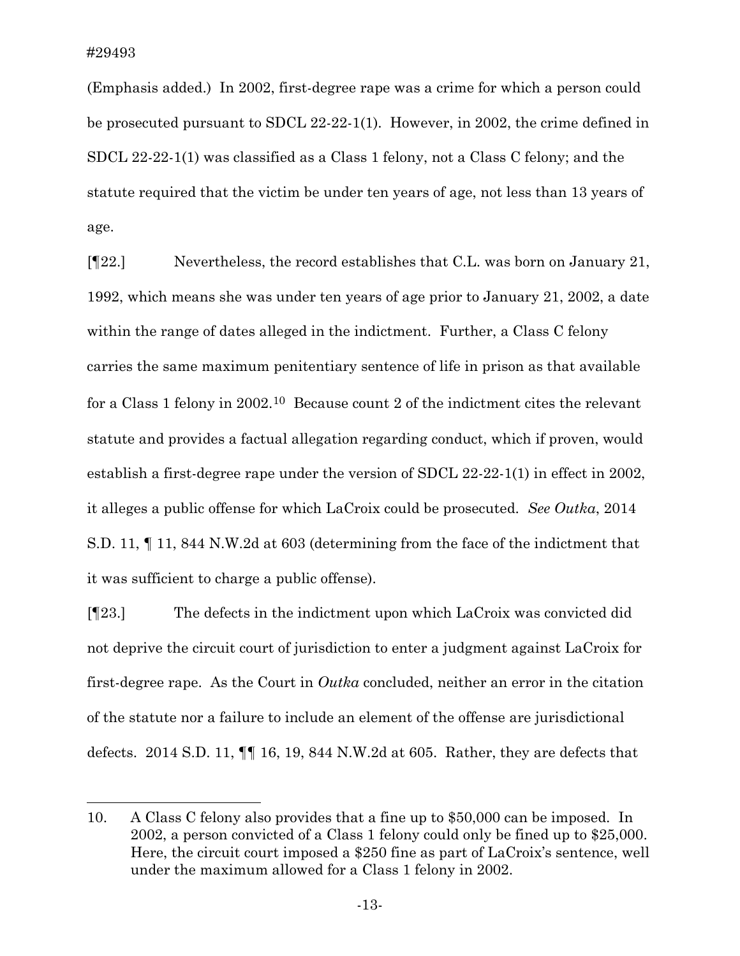(Emphasis added.) In 2002, first-degree rape was a crime for which a person could be prosecuted pursuant to SDCL 22-22-1(1). However, in 2002, the crime defined in SDCL 22-22-1(1) was classified as a Class 1 felony, not a Class C felony; and the statute required that the victim be under ten years of age, not less than 13 years of age.

[¶22.] Nevertheless, the record establishes that C.L. was born on January 21, 1992, which means she was under ten years of age prior to January 21, 2002, a date within the range of dates alleged in the indictment. Further, a Class C felony carries the same maximum penitentiary sentence of life in prison as that available for a Class 1 felony in 2002.[10](#page-13-0) Because count 2 of the indictment cites the relevant statute and provides a factual allegation regarding conduct, which if proven, would establish a first-degree rape under the version of SDCL 22-22-1(1) in effect in 2002, it alleges a public offense for which LaCroix could be prosecuted. *See Outka*, 2014 S.D. 11, ¶ 11, 844 N.W.2d at 603 (determining from the face of the indictment that it was sufficient to charge a public offense).

[¶23.] The defects in the indictment upon which LaCroix was convicted did not deprive the circuit court of jurisdiction to enter a judgment against LaCroix for first-degree rape. As the Court in *Outka* concluded, neither an error in the citation of the statute nor a failure to include an element of the offense are jurisdictional defects. 2014 S.D. 11, ¶¶ 16, 19, 844 N.W.2d at 605. Rather, they are defects that

<span id="page-13-0"></span><sup>10.</sup> A Class C felony also provides that a fine up to \$50,000 can be imposed. In 2002, a person convicted of a Class 1 felony could only be fined up to \$25,000. Here, the circuit court imposed a \$250 fine as part of LaCroix's sentence, well under the maximum allowed for a Class 1 felony in 2002.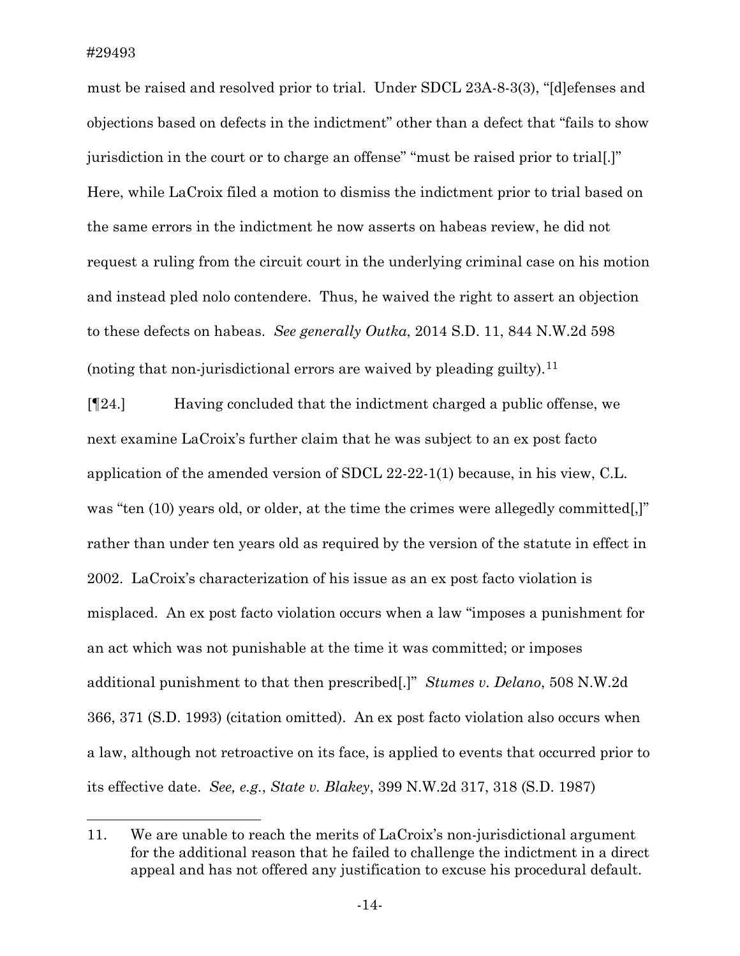must be raised and resolved prior to trial. Under SDCL 23A-8-3(3), "[d]efenses and objections based on defects in the indictment" other than a defect that "fails to show jurisdiction in the court or to charge an offense" "must be raised prior to trial[.]" Here, while LaCroix filed a motion to dismiss the indictment prior to trial based on the same errors in the indictment he now asserts on habeas review, he did not request a ruling from the circuit court in the underlying criminal case on his motion and instead pled nolo contendere. Thus, he waived the right to assert an objection to these defects on habeas. *See generally Outka*, 2014 S.D. 11, 844 N.W.2d 598 (noting that non-jurisdictional errors are waived by pleading guilty).<sup>[11](#page-14-0)</sup>

[¶24.] Having concluded that the indictment charged a public offense, we next examine LaCroix's further claim that he was subject to an ex post facto application of the amended version of SDCL 22-22-1(1) because, in his view, C.L. was "ten (10) years old, or older, at the time the crimes were allegedly committed.]" rather than under ten years old as required by the version of the statute in effect in 2002. LaCroix's characterization of his issue as an ex post facto violation is misplaced. An ex post facto violation occurs when a law "imposes a punishment for an act which was not punishable at the time it was committed; or imposes additional punishment to that then prescribed[.]" *Stumes v. Delano*, 508 N.W.2d 366, 371 (S.D. 1993) (citation omitted). An ex post facto violation also occurs when a law, although not retroactive on its face, is applied to events that occurred prior to its effective date. *See, e.g.*, *State v. Blakey*, 399 N.W.2d 317, 318 (S.D. 1987)

<span id="page-14-0"></span><sup>11.</sup> We are unable to reach the merits of LaCroix's non-jurisdictional argument for the additional reason that he failed to challenge the indictment in a direct appeal and has not offered any justification to excuse his procedural default.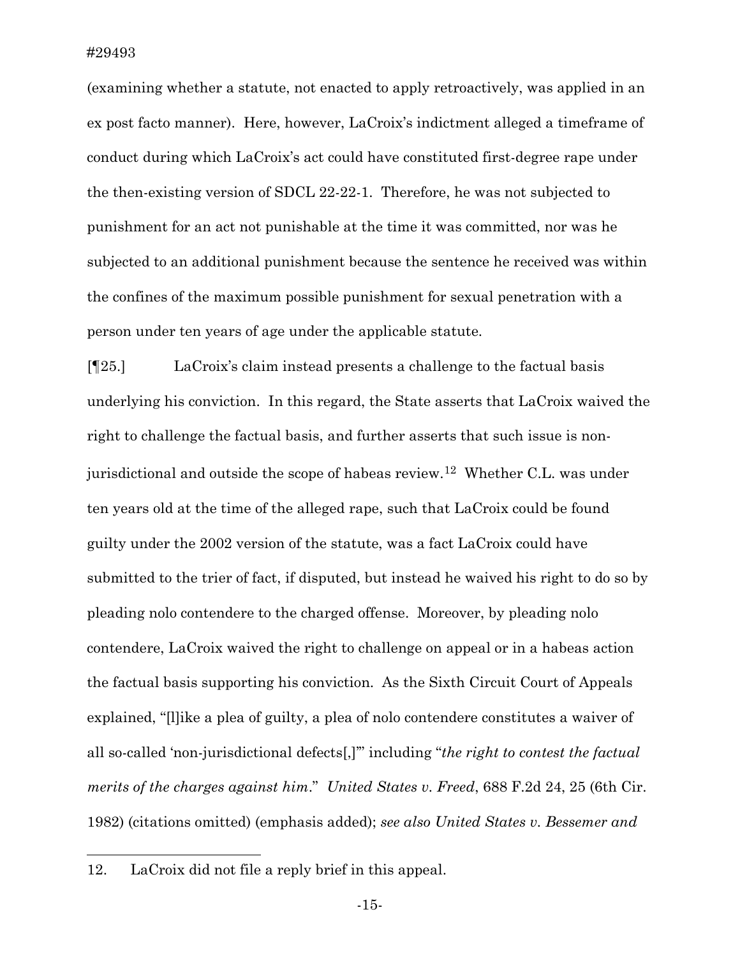(examining whether a statute, not enacted to apply retroactively, was applied in an ex post facto manner). Here, however, LaCroix's indictment alleged a timeframe of conduct during which LaCroix's act could have constituted first-degree rape under the then-existing version of SDCL 22-22-1. Therefore, he was not subjected to punishment for an act not punishable at the time it was committed, nor was he subjected to an additional punishment because the sentence he received was within the confines of the maximum possible punishment for sexual penetration with a person under ten years of age under the applicable statute.

[¶25.] LaCroix's claim instead presents a challenge to the factual basis underlying his conviction. In this regard, the State asserts that LaCroix waived the right to challenge the factual basis, and further asserts that such issue is nonjurisdictional and outside the scope of habeas review.[12](#page-15-0) Whether C.L. was under ten years old at the time of the alleged rape, such that LaCroix could be found guilty under the 2002 version of the statute, was a fact LaCroix could have submitted to the trier of fact, if disputed, but instead he waived his right to do so by pleading nolo contendere to the charged offense. Moreover, by pleading nolo contendere, LaCroix waived the right to challenge on appeal or in a habeas action the factual basis supporting his conviction. As the Sixth Circuit Court of Appeals explained, "[l]ike a plea of guilty, a plea of nolo contendere constitutes a waiver of all so-called 'non-jurisdictional defects[,]'" including "*the right to contest the factual merits of the charges against him*." *United States v. Freed*, 688 F.2d 24, 25 (6th Cir. 1982) (citations omitted) (emphasis added); *see also United States v. Bessemer and* 

<span id="page-15-0"></span><sup>12.</sup> LaCroix did not file a reply brief in this appeal.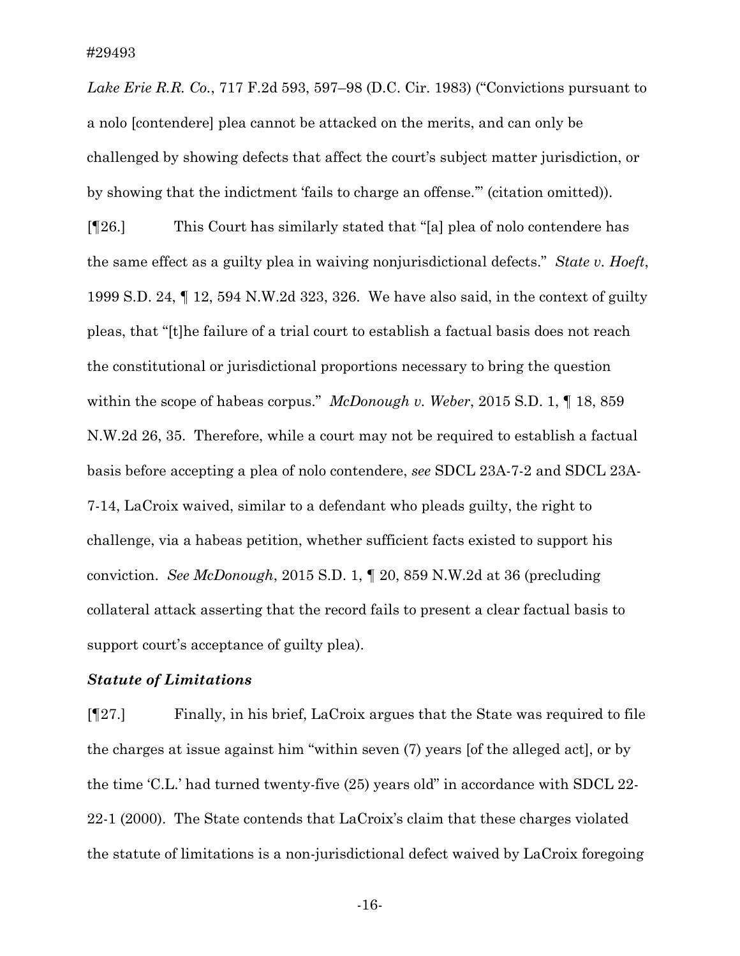*Lake Erie R.R. Co.*, 717 F.2d 593, 597–98 (D.C. Cir. 1983) ("Convictions pursuant to a nolo [contendere] plea cannot be attacked on the merits, and can only be challenged by showing defects that affect the court's subject matter jurisdiction, or by showing that the indictment 'fails to charge an offense.'" (citation omitted)).

[¶26.] This Court has similarly stated that "[a] plea of nolo contendere has the same effect as a guilty plea in waiving nonjurisdictional defects." *State v. Hoeft*, 1999 S.D. 24, ¶ 12, 594 N.W.2d 323, 326. We have also said, in the context of guilty pleas, that "[t]he failure of a trial court to establish a factual basis does not reach the constitutional or jurisdictional proportions necessary to bring the question within the scope of habeas corpus." *McDonough v. Weber*, 2015 S.D. 1, ¶ 18, 859 N.W.2d 26, 35. Therefore, while a court may not be required to establish a factual basis before accepting a plea of nolo contendere, *see* SDCL 23A-7-2 and SDCL 23A-7-14, LaCroix waived, similar to a defendant who pleads guilty, the right to challenge, via a habeas petition, whether sufficient facts existed to support his conviction. *See McDonough*, 2015 S.D. 1, ¶ 20, 859 N.W.2d at 36 (precluding collateral attack asserting that the record fails to present a clear factual basis to support court's acceptance of guilty plea).

#### *Statute of Limitations*

[¶27.] Finally, in his brief, LaCroix argues that the State was required to file the charges at issue against him "within seven (7) years [of the alleged act], or by the time 'C.L.' had turned twenty-five (25) years old" in accordance with SDCL 22- 22-1 (2000). The State contends that LaCroix's claim that these charges violated the statute of limitations is a non-jurisdictional defect waived by LaCroix foregoing

-16-